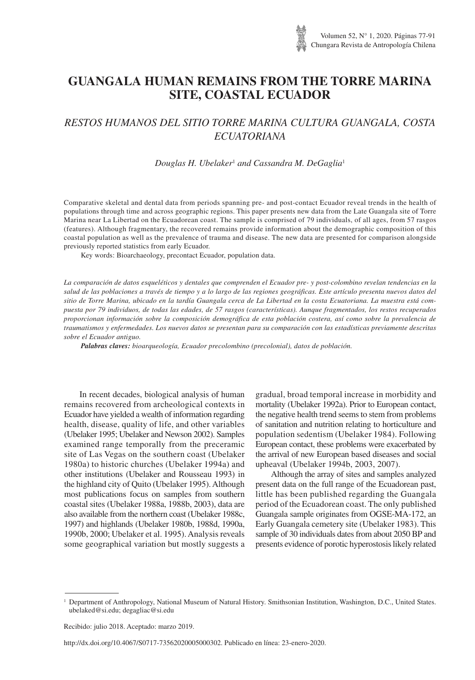# **GUANGALA HUMAN REMAINS FROM THE TORRE MARINA SITE, COASTAL ECUADOR**

# *RESTOS HUMANOS DEL SITIO TORRE MARINA CULTURA GUANGALA, COSTA ECUATORIANA*

## *Douglas H. Ubelaker*<sup>1</sup> *and Cassandra M. DeGaglia*<sup>1</sup>

Comparative skeletal and dental data from periods spanning pre- and post-contact Ecuador reveal trends in the health of populations through time and across geographic regions. This paper presents new data from the Late Guangala site of Torre Marina near La Libertad on the Ecuadorean coast. The sample is comprised of 79 individuals, of all ages, from 57 rasgos (features). Although fragmentary, the recovered remains provide information about the demographic composition of this coastal population as well as the prevalence of trauma and disease. The new data are presented for comparison alongside previously reported statistics from early Ecuador.

Key words: Bioarchaeology, precontact Ecuador, population data.

*La comparación de datos esqueléticos y dentales que comprenden el Ecuador pre- y post-colombino revelan tendencias en la salud de las poblaciones a través de tiempo y a lo largo de las regiones geográficas. Este artículo presenta nuevos datos del sitio de Torre Marina, ubicado en la tardía Guangala cerca de La Libertad en la costa Ecuatoriana. La muestra está compuesta por 79 individuos, de todas las edades, de 57 rasgos (características). Aunque fragmentados, los restos recuperados proporcionan información sobre la composición demográfica de esta población costera, así como sobre la prevalencia de traumatismos y enfermedades. Los nuevos datos se presentan para su comparación con las estadísticas previamente descritas sobre el Ecuador antiguo.*

*Palabras claves: bioarqueología, Ecuador precolombino (precolonial), datos de población.*

In recent decades, biological analysis of human remains recovered from archeological contexts in Ecuador have yielded a wealth of information regarding health, disease, quality of life, and other variables (Ubelaker 1995; Ubelaker and Newson 2002). Samples examined range temporally from the preceramic site of Las Vegas on the southern coast (Ubelaker 1980a) to historic churches (Ubelaker 1994a) and other institutions (Ubelaker and Rousseau 1993) in the highland city of Quito (Ubelaker 1995). Although most publications focus on samples from southern coastal sites (Ubelaker 1988a, 1988b, 2003), data are also available from the northern coast (Ubelaker 1988c, 1997) and highlands (Ubelaker 1980b, 1988d, 1990a, 1990b, 2000; Ubelaker et al. 1995). Analysis reveals some geographical variation but mostly suggests a

gradual, broad temporal increase in morbidity and mortality (Ubelaker 1992a). Prior to European contact, the negative health trend seems to stem from problems of sanitation and nutrition relating to horticulture and population sedentism (Ubelaker 1984). Following European contact, these problems were exacerbated by the arrival of new European based diseases and social upheaval (Ubelaker 1994b, 2003, 2007).

Although the array of sites and samples analyzed present data on the full range of the Ecuadorean past, little has been published regarding the Guangala period of the Ecuadorean coast. The only published Guangala sample originates from OGSE-MA-172, an Early Guangala cemetery site (Ubelaker 1983). This sample of 30 individuals dates from about 2050 BP and presents evidence of porotic hyperostosis likely related

http://dx.doi.org/10.4067/S0717-73562020005000302. Publicado en línea: 23-enero-2020.

<sup>1</sup> Department of Anthropology, National Museum of Natural History. Smithsonian Institution, Washington, D.C., United States. ubelaked@si.edu; degagliac@si.edu

Recibido: julio 2018. Aceptado: marzo 2019.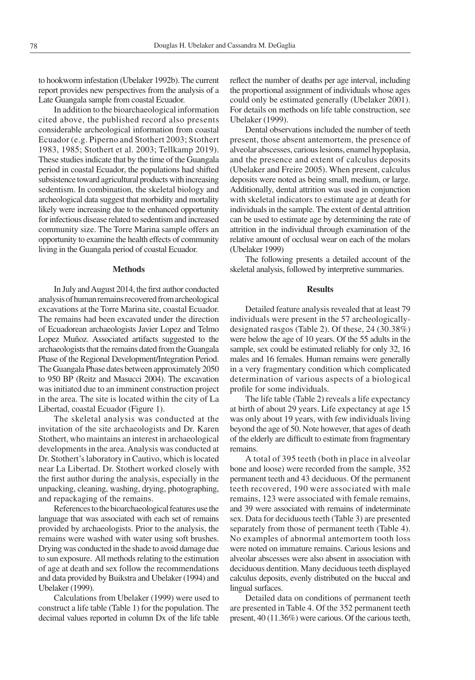to hookworm infestation (Ubelaker 1992b). The current report provides new perspectives from the analysis of a Late Guangala sample from coastal Ecuador.

In addition to the bioarchaeological information cited above, the published record also presents considerable archeological information from coastal Ecuador (e.g. Piperno and Stothert 2003; Stothert 1983, 1985; Stothert et al. 2003; Tellkamp 2019). These studies indicate that by the time of the Guangala period in coastal Ecuador, the populations had shifted subsistence toward agricultural products with increasing sedentism. In combination, the skeletal biology and archeological data suggest that morbidity and mortality likely were increasing due to the enhanced opportunity for infectious disease related to sedentism and increased community size. The Torre Marina sample offers an opportunity to examine the health effects of community living in the Guangala period of coastal Ecuador.

## **Methods**

In July and August 2014, the first author conducted analysis of human remains recovered from archeological excavations at the Torre Marina site, coastal Ecuador. The remains had been excavated under the direction of Ecuadorean archaeologists Javier Lopez and Telmo Lopez Muñoz. Associated artifacts suggested to the archaeologists that the remains dated from the Guangala Phase of the Regional Development/Integration Period. The Guangala Phase dates between approximately 2050 to 950 BP (Reitz and Masucci 2004). The excavation was initiated due to an imminent construction project in the area. The site is located within the city of La Libertad, coastal Ecuador (Figure 1).

The skeletal analysis was conducted at the invitation of the site archaeologists and Dr. Karen Stothert, who maintains an interest in archaeological developments in the area. Analysis was conducted at Dr. Stothert's laboratory in Cautivo, which is located near La Libertad. Dr. Stothert worked closely with the first author during the analysis, especially in the unpacking, cleaning, washing, drying, photographing, and repackaging of the remains.

References to the bioarchaeological features use the language that was associated with each set of remains provided by archaeologists. Prior to the analysis, the remains were washed with water using soft brushes. Drying was conducted in the shade to avoid damage due to sun exposure. All methods relating to the estimation of age at death and sex follow the recommendations and data provided by Buikstra and Ubelaker (1994) and Ubelaker (1999).

Calculations from Ubelaker (1999) were used to construct a life table (Table 1) for the population. The decimal values reported in column Dx of the life table reflect the number of deaths per age interval, including the proportional assignment of individuals whose ages could only be estimated generally (Ubelaker 2001). For details on methods on life table construction, see Ubelaker (1999).

Dental observations included the number of teeth present, those absent antemortem, the presence of alveolar abscesses, carious lesions, enamel hypoplasia, and the presence and extent of calculus deposits (Ubelaker and Freire 2005). When present, calculus deposits were noted as being small, medium, or large. Additionally, dental attrition was used in conjunction with skeletal indicators to estimate age at death for individuals in the sample. The extent of dental attrition can be used to estimate age by determining the rate of attrition in the individual through examination of the relative amount of occlusal wear on each of the molars (Ubelaker 1999)

The following presents a detailed account of the skeletal analysis, followed by interpretive summaries.

#### **Results**

Detailed feature analysis revealed that at least 79 individuals were present in the 57 archeologicallydesignated rasgos (Table 2). Of these, 24 (30.38%) were below the age of 10 years. Of the 55 adults in the sample, sex could be estimated reliably for only 32, 16 males and 16 females. Human remains were generally in a very fragmentary condition which complicated determination of various aspects of a biological profile for some individuals.

The life table (Table 2) reveals a life expectancy at birth of about 29 years. Life expectancy at age 15 was only about 19 years, with few individuals living beyond the age of 50. Note however, that ages of death of the elderly are difficult to estimate from fragmentary remains.

A total of 395 teeth (both in place in alveolar bone and loose) were recorded from the sample, 352 permanent teeth and 43 deciduous. Of the permanent teeth recovered, 190 were associated with male remains, 123 were associated with female remains, and 39 were associated with remains of indeterminate sex. Data for deciduous teeth (Table 3) are presented separately from those of permanent teeth (Table 4). No examples of abnormal antemortem tooth loss were noted on immature remains. Carious lesions and alveolar abscesses were also absent in association with deciduous dentition. Many deciduous teeth displayed calculus deposits, evenly distributed on the buccal and lingual surfaces.

Detailed data on conditions of permanent teeth are presented in Table 4. Of the 352 permanent teeth present, 40 (11.36%) were carious. Of the carious teeth,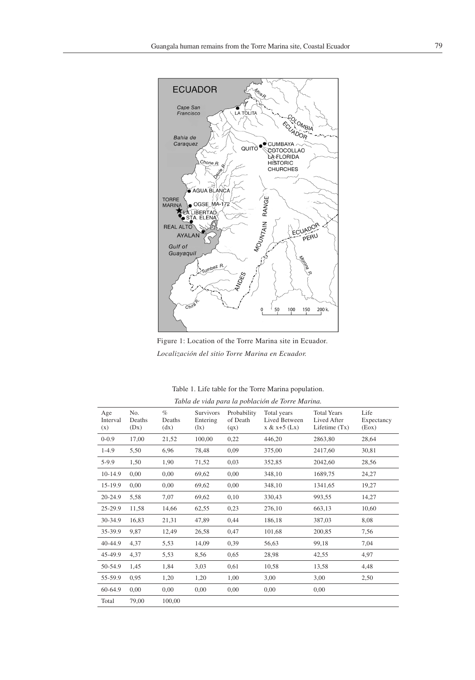



Table 1. Life table for the Torre Marina population. *Tabla de vida para la población de Torre Marina.* 

|                        |                       |                        |                                                    |                                 | racted are there paint for pocketon are rolled him the |                                                      |                             |
|------------------------|-----------------------|------------------------|----------------------------------------------------|---------------------------------|--------------------------------------------------------|------------------------------------------------------|-----------------------------|
| Age<br>Interval<br>(x) | No.<br>Deaths<br>(Dx) | $\%$<br>Deaths<br>(dx) | Survivors<br>Entering<br>$(\mathbf{I} \mathbf{x})$ | Probability<br>of Death<br>(qx) | Total years<br>Lived Between<br>$x & x+5$ (Lx)         | <b>Total Years</b><br>Lived After<br>Lifetime $(Tx)$ | Life<br>Expectancy<br>(Eox) |
| $0 - 0.9$              | 17,00                 | 21,52                  | 100,00                                             | 0,22                            | 446,20                                                 | 2863,80                                              | 28,64                       |
| $1-4.9$                | 5,50                  | 6,96                   | 78,48                                              | 0,09                            | 375,00                                                 | 2417,60                                              | 30,81                       |
| $5-9.9$                | 1,50                  | 1,90                   | 71,52                                              | 0,03                            | 352,85                                                 | 2042,60                                              | 28,56                       |
| 10-14.9                | 0,00                  | 0,00                   | 69,62                                              | 0,00                            | 348,10                                                 | 1689,75                                              | 24,27                       |
| 15-19.9                | 0,00                  | 0,00                   | 69,62                                              | 0,00                            | 348,10                                                 | 1341,65                                              | 19,27                       |
| 20-24.9                | 5,58                  | 7,07                   | 69,62                                              | 0,10                            | 330,43                                                 | 993,55                                               | 14,27                       |
| 25-29.9                | 11,58                 | 14,66                  | 62,55                                              | 0,23                            | 276,10                                                 | 663,13                                               | 10,60                       |
| 30-34.9                | 16,83                 | 21,31                  | 47,89                                              | 0,44                            | 186,18                                                 | 387,03                                               | 8,08                        |
| 35-39.9                | 9,87                  | 12,49                  | 26,58                                              | 0,47                            | 101,68                                                 | 200,85                                               | 7,56                        |
| 40-44.9                | 4,37                  | 5,53                   | 14,09                                              | 0,39                            | 56,63                                                  | 99,18                                                | 7,04                        |
| 45-49.9                | 4,37                  | 5,53                   | 8,56                                               | 0,65                            | 28,98                                                  | 42,55                                                | 4,97                        |
| 50-54.9                | 1,45                  | 1,84                   | 3,03                                               | 0,61                            | 10,58                                                  | 13,58                                                | 4,48                        |
| 55-59.9                | 0,95                  | 1,20                   | 1,20                                               | 1,00                            | 3,00                                                   | 3,00                                                 | 2,50                        |
| 60-64.9                | 0,00                  | 0,00                   | 0,00                                               | 0,00                            | 0,00                                                   | 0,00                                                 |                             |
| Total                  | 79,00                 | 100,00                 |                                                    |                                 |                                                        |                                                      |                             |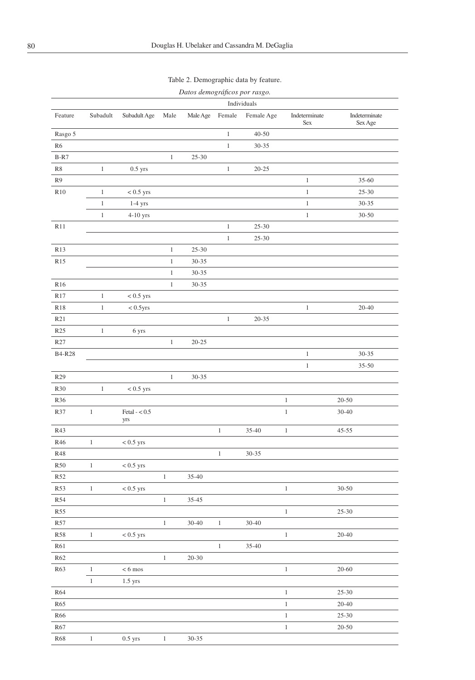|                 |              |                        |              | Datos demográficos por rasgo. |              |             |                      |                          |
|-----------------|--------------|------------------------|--------------|-------------------------------|--------------|-------------|----------------------|--------------------------|
|                 |              |                        |              |                               |              | Individuals |                      |                          |
| Feature         | Subadult     | Subadult Age           | Male         | Male Age                      | Female       | Female Age  | Indeterminate<br>Sex | Indeterminate<br>Sex Age |
| Rasgo 5         |              |                        |              |                               | $\mathbf{1}$ | $40 - 50$   |                      |                          |
| R6              |              |                        |              |                               | $\mathbf{1}$ | $30 - 35$   |                      |                          |
| $B-R7$          |              |                        | $\mathbf{1}$ | $25 - 30$                     |              |             |                      |                          |
| $\mathbb{R}8$   | $\,1$        | $0.5$ yrs              |              |                               | $\,1$        | $20 - 25$   |                      |                          |
| R <sub>9</sub>  |              |                        |              |                               |              |             | $\mathbf{1}$         | $35 - 60$                |
| R10             | $\,1$        | $< 0.5$ yrs            |              |                               |              |             | $\mathbf{1}$         | $25 - 30$                |
|                 | $\,1\,$      | $1-4$ yrs              |              |                               |              |             | $\mathbf{1}$         | $30 - 35$                |
|                 | $\mathbf{1}$ | $4-10$ yrs             |              |                               |              |             | $\mathbf{1}$         | $30 - 50$                |
| R11             |              |                        |              |                               | $\,1$        | $25 - 30$   |                      |                          |
|                 |              |                        |              |                               | $\,1\,$      | $25 - 30$   |                      |                          |
| R <sub>13</sub> |              |                        | $\mathbf{1}$ | $25 - 30$                     |              |             |                      |                          |
| R15             |              |                        | $\mathbf{1}$ | $30 - 35$                     |              |             |                      |                          |
|                 |              |                        | $\mathbf{1}$ | $30 - 35$                     |              |             |                      |                          |
| R16             |              |                        | $\,1$        | $30 - 35$                     |              |             |                      |                          |
| R17             | $\mathbf{1}$ | $< 0.5$ yrs            |              |                               |              |             |                      |                          |
| <b>R18</b>      | $\,1$        | $< 0.5$ yrs            |              |                               |              |             | $\mathbf{1}$         | $20 - 40$                |
| R21             |              |                        |              |                               | $\mathbf{1}$ | $20 - 35$   |                      |                          |
| R25             | $\mathbf{1}$ | 6 yrs                  |              |                               |              |             |                      |                          |
| R27             |              |                        | $\,1$        | $20 - 25$                     |              |             |                      |                          |
|                 |              |                        |              |                               |              |             |                      |                          |
| <b>B4-R28</b>   |              |                        |              |                               |              |             | $\mathbf{1}$         | $30 - 35$                |
|                 |              |                        |              |                               |              |             | $\mathbf{1}$         | $35 - 50$                |
| R29             |              |                        | $\mathbf{1}$ | $30 - 35$                     |              |             |                      |                          |
| R30             | $\mathbf{1}$ | $< 0.5$ yrs            |              |                               |              |             |                      |                          |
| R36             |              |                        |              |                               |              |             | $\mathbf 1$          | $20 - 50$                |
| R37             | $\mathbf{1}$ | Fetal $- < 0.5$<br>yrs |              |                               |              |             | $\,1\,$              | $30 - 40$                |
| R43             |              |                        |              |                               | $\mathbf{1}$ | $35 - 40$   | $\mathbf{1}$         | $45 - 55$                |
| R46             | $\mathbf{1}$ | $< 0.5$ yrs            |              |                               |              |             |                      |                          |
| <b>R48</b>      |              |                        |              |                               | $\,1$        | 30-35       |                      |                          |
| $R50\,$         | $\mathbf{1}$ | $< 0.5$ yrs            |              |                               |              |             |                      |                          |
| R52             |              |                        | $\,1$        | 35-40                         |              |             |                      |                          |
| R53             | $\mathbf{1}$ | $< 0.5$ yrs            |              |                               |              |             | $\mathbf{1}$         | $30 - 50$                |
| R54             |              |                        | $\,1\,$      | 35-45                         |              |             |                      |                          |
| <b>R55</b>      |              |                        |              |                               |              |             | $\mathbf{1}$         | $25 - 30$                |
| R57             |              |                        | $1\,$        | 30-40                         | $\,1$        | $30 - 40$   |                      |                          |
| <b>R58</b>      | $\mathbf{1}$ | $< 0.5 \ \rm{yrs}$     |              |                               |              |             | $\,1$                | $20 - 40$                |
| <b>R61</b>      |              |                        |              |                               | $\mathbf{1}$ | $35 - 40$   |                      |                          |
| R62             |              |                        | $\,1$        | $20 - 30$                     |              |             |                      |                          |
| R63             | $\,1\,$      | $< 6~{\rm{mos}}$       |              |                               |              |             | $\,1$                | $20 - 60$                |
|                 | $\,1$        | $1.5$ yrs              |              |                               |              |             |                      |                          |
| R64             |              |                        |              |                               |              |             | $\,1$                | $25 - 30$                |
| R65             |              |                        |              |                               |              |             | $\,1$                | $20 - 40$                |
| R66             |              |                        |              |                               |              |             | $\,1$                | $25 - 30$                |
| R67             |              |                        |              |                               |              |             | $\mathbf{1}$         | $20 - 50$                |
| $R68$           | $\mathbf{1}$ | $0.5$ yrs              | $\mathbf{1}$ | $30 - 35$                     |              |             |                      |                          |
|                 |              |                        |              |                               |              |             |                      |                          |

# Table 2. Demographic data by feature.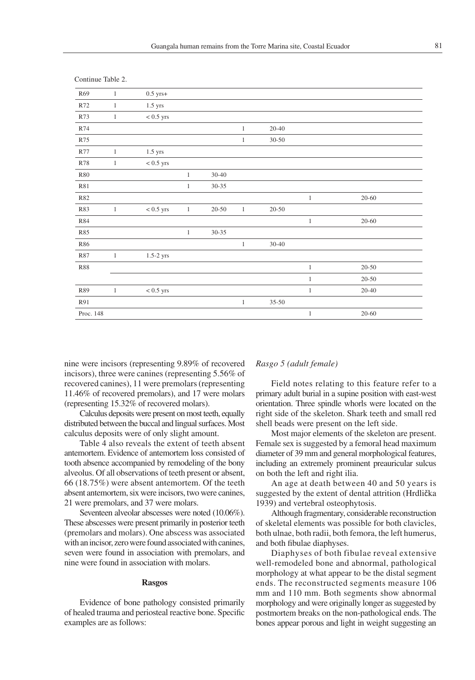| R69        | $\mathbf{1}$ | $0.5$ yrs+        |              |           |              |           |              |           |
|------------|--------------|-------------------|--------------|-----------|--------------|-----------|--------------|-----------|
| R72        | $\mathbf{1}$ | $1.5$ yrs         |              |           |              |           |              |           |
| R73        | $\mathbf{1}$ | $< 0.5 ~\rm{yrs}$ |              |           |              |           |              |           |
| R74        |              |                   |              |           | $\mathbf{1}$ | $20 - 40$ |              |           |
| R75        |              |                   |              |           | $\mathbf{1}$ | $30 - 50$ |              |           |
| R77        | $\mathbf{1}$ | $1.5$ yrs         |              |           |              |           |              |           |
| <b>R78</b> | $\mathbf{1}$ | $< 0.5$ yrs       |              |           |              |           |              |           |
| <b>R80</b> |              |                   | $\mathbf{1}$ | $30 - 40$ |              |           |              |           |
| <b>R81</b> |              |                   | $\mathbf{1}$ | $30 - 35$ |              |           |              |           |
| R82        |              |                   |              |           |              |           | $\mathbf{1}$ | $20 - 60$ |
| R83        | $\mathbf{1}$ | $< 0.5 ~\rm{yrs}$ | $\mathbf{1}$ | $20 - 50$ | $\mathbf{1}$ | $20 - 50$ |              |           |
| <b>R84</b> |              |                   |              |           |              |           | $\mathbf{1}$ | $20 - 60$ |
| R85        |              |                   | $\mathbf{1}$ | $30 - 35$ |              |           |              |           |
| <b>R86</b> |              |                   |              |           | $\mathbf{1}$ | $30 - 40$ |              |           |
| R87        | $\mathbf{1}$ | $1.5-2$ yrs       |              |           |              |           |              |           |
| <b>R88</b> |              |                   |              |           |              |           | $\mathbf{1}$ | $20 - 50$ |
|            |              |                   |              |           |              |           | $\mathbf{1}$ | $20 - 50$ |
| R89        | $\,1$        | $< 0.5 ~\rm{yrs}$ |              |           |              |           | $\mathbf{1}$ | $20 - 40$ |
| R91        |              |                   |              |           | $\mathbf{1}$ | $35 - 50$ |              |           |
| Proc. 148  |              |                   |              |           |              |           | $\mathbf{1}$ | $20 - 60$ |
|            |              |                   |              |           |              |           |              |           |

Continue Table 2.

nine were incisors (representing 9.89% of recovered incisors), three were canines (representing 5.56% of recovered canines), 11 were premolars (representing 11.46% of recovered premolars), and 17 were molars (representing 15.32% of recovered molars).

Calculus deposits were present on most teeth, equally distributed between the buccal and lingual surfaces. Most calculus deposits were of only slight amount.

Table 4 also reveals the extent of teeth absent antemortem. Evidence of antemortem loss consisted of tooth absence accompanied by remodeling of the bony alveolus. Of all observations of teeth present or absent, 66 (18.75%) were absent antemortem. Of the teeth absent antemortem, six were incisors, two were canines, 21 were premolars, and 37 were molars.

Seventeen alveolar abscesses were noted (10.06%). These abscesses were present primarily in posterior teeth (premolars and molars). One abscess was associated with an incisor, zero were found associated with canines, seven were found in association with premolars, and nine were found in association with molars.

#### **Rasgos**

Evidence of bone pathology consisted primarily of healed trauma and periosteal reactive bone. Specific examples are as follows:

## *Rasgo 5 (adult female)*

Field notes relating to this feature refer to a primary adult burial in a supine position with east-west orientation. Three spindle whorls were located on the right side of the skeleton. Shark teeth and small red shell beads were present on the left side.

Most major elements of the skeleton are present. Female sex is suggested by a femoral head maximum diameter of 39 mm and general morphological features, including an extremely prominent preauricular sulcus on both the left and right ilia.

An age at death between 40 and 50 years is suggested by the extent of dental attrition (Hrdlička 1939) and vertebral osteophytosis.

Although fragmentary, considerable reconstruction of skeletal elements was possible for both clavicles, both ulnae, both radii, both femora, the left humerus, and both fibulae diaphyses.

Diaphyses of both fibulae reveal extensive well-remodeled bone and abnormal, pathological morphology at what appear to be the distal segment ends. The reconstructed segments measure 106 mm and 110 mm. Both segments show abnormal morphology and were originally longer as suggested by postmortem breaks on the non-pathological ends. The bones appear porous and light in weight suggesting an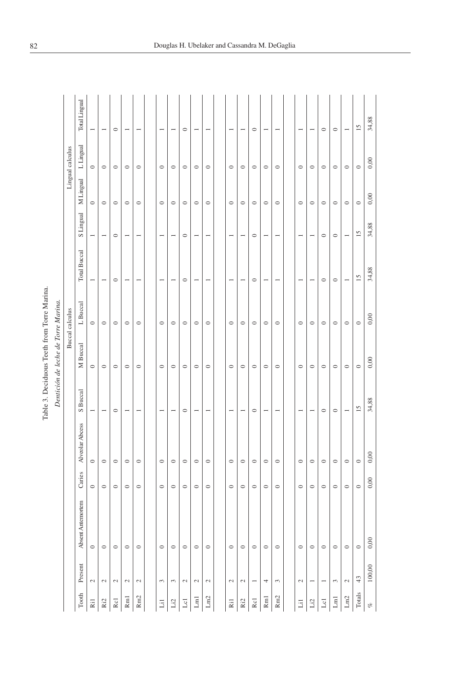| ı |  |
|---|--|
| ı |  |
|   |  |
|   |  |

|                            |                          |                   |         |                 |                          | Table 3. Deciduous Teeth from Torre Marina.<br>Dentición de leche de Torre Marina. |                 |                          |                          |           |                  |                          |
|----------------------------|--------------------------|-------------------|---------|-----------------|--------------------------|------------------------------------------------------------------------------------|-----------------|--------------------------|--------------------------|-----------|------------------|--------------------------|
|                            |                          |                   |         |                 |                          |                                                                                    | Buccal calculus |                          |                          |           | Lingual calculus |                          |
| Tooth                      | Present                  | Absent Antemortem | Caries  | Alveolar Abcess | S Buccal                 | M Buccal                                                                           | L Buccal        | <b>Total Buccal</b>      | <b>S</b> Lingual         | M Lingual | L Lingual        | Total Lingual            |
| Ril                        | $\mathcal{L}$            | $\circ$           | $\circ$ | $\circ$         |                          | $\circ$                                                                            | $\circ$         |                          |                          | $\circ$   | $\circ$          |                          |
| Ri2                        | $\sim$                   | $\circ$           | $\circ$ | $\circ$         | $\overline{\phantom{0}}$ | $\circ$                                                                            | $\circ$         | $\overline{\phantom{0}}$ | $\overline{\phantom{a}}$ | $\circ$   | $\circ$          | $\overline{\phantom{0}}$ |
| Rc1                        | $\sim$                   | $\circ$           | $\circ$ | $\circ$         | $\circ$                  | $\circ$                                                                            | $\circ$         | $\circ$                  | $\circ$                  | $\circ$   | $\circ$          | $\circ$                  |
| R <sub>m</sub> 1           | $\mathcal{L}$            | $\circ$           | $\circ$ | $\circ$         |                          | $\circ$                                                                            | $\circ$         | ÷                        |                          | $\circ$   | $\circ$          |                          |
| R <sub>m2</sub>            | $\mathbb{C}^1$           | $\circ$           | $\circ$ | $\circ$         | $\overline{\phantom{0}}$ | $\circ$                                                                            | $\circ$         |                          |                          | $\circ$   | $\circ$          |                          |
|                            |                          |                   |         |                 |                          |                                                                                    |                 |                          |                          |           |                  |                          |
| Lil                        | 3                        | $\circ$           | $\circ$ | $\circ$         | $\overline{ }$           | $\circ$                                                                            | $\circ$         | $\overline{ }$           | $\overline{\phantom{a}}$ | $\circ$   | $\circ$          | $\overline{\phantom{a}}$ |
| Li2                        | $\epsilon$               | $\circ$           | $\circ$ | $\circ$         | $\overline{\phantom{a}}$ | $\circ$                                                                            | $\circ$         |                          |                          | $\circ$   | $\circ$          | $\overline{\phantom{0}}$ |
| $_{\rm Lcl}$               | $\mathcal{L}$            | $\circ$           | $\circ$ | $\circ$         | $\circ$                  | $\circ$                                                                            | $\circ$         | $\circ$                  | $\circ$                  | $\circ$   | $\circ$          | $\circ$                  |
| $\mathop{\rm Lm}\nolimits$ | $\mathcal{L}$            | $\circ$           | $\circ$ | $\circ$         | $\overline{\phantom{0}}$ | $\circ$                                                                            | $\circ$         | $\overline{ }$           | $\overline{\phantom{a}}$ | $\circ$   | $\circ$          | $\overline{\phantom{0}}$ |
| ${\rm Lm}2$                | $\mathcal{L}$            | $\circ$           | $\circ$ | $\circ$         |                          | $\circ$                                                                            | $\circ$         |                          |                          | $\circ$   | $\circ$          |                          |
|                            |                          |                   |         |                 |                          |                                                                                    |                 |                          |                          |           |                  |                          |
| Ri1                        | $\sim$                   | $\circ$           | $\circ$ | $\circ$         | $\overline{\phantom{a}}$ | $\circ$                                                                            | $\circ$         | $\overline{\phantom{0}}$ | $\overline{\phantom{0}}$ | $\circ$   | $\circ$          | $\overline{\phantom{0}}$ |
| Ri2                        | $\mathcal{L}$            | $\circ$           | $\circ$ | $\circ$         | $\overline{\phantom{0}}$ | $\circ$                                                                            | $\circ$         | $\overline{\phantom{0}}$ | $\overline{\phantom{0}}$ | $\circ$   | $\circ$          | $\overline{\phantom{a}}$ |
| Rc1                        | $\overline{\phantom{0}}$ | $\circ$           | $\circ$ | $\circ$         | $\circ$                  | $\circ$                                                                            | $\circ$         | $\circ$                  | $\circ$                  | $\circ$   | $\circ$          | $\circ$                  |
| $\rm Rm1$                  | 4                        | $\circ$           | $\circ$ | $\circ$         |                          | $\circ$                                                                            | $\circ$         | $\overline{\phantom{0}}$ |                          | $\circ$   | $\circ$          |                          |
| Rm <sub>2</sub>            | $\sim$                   | $\circ$           | $\circ$ | $\circ$         | $\overline{\phantom{a}}$ | $\circ$                                                                            | $\circ$         | $\overline{\phantom{a}}$ | $\overline{\phantom{a}}$ | $\circ$   | $\circ$          | $\overline{\phantom{a}}$ |
|                            |                          |                   |         |                 |                          |                                                                                    |                 |                          |                          |           |                  |                          |
| Li1                        | $\sim$                   | $\circ$           | $\circ$ | $\circ$         | $\overline{\phantom{a}}$ | $\circ$                                                                            | $\circ$         | $\overline{\phantom{0}}$ |                          | $\circ$   | $\circ$          | $\overline{\phantom{0}}$ |
| Li2                        | $\overline{\phantom{0}}$ | $\circ$           | $\circ$ | $\circ$         | $\overline{\phantom{a}}$ | $\circ$                                                                            | $\circ$         |                          | $\overline{\phantom{0}}$ | $\circ$   | $\circ$          | $\overline{\phantom{0}}$ |
| $_{\rm Lcl}$               | $\overline{\phantom{0}}$ | $\circ$           | $\circ$ | $\circ$         | $\circ$                  | $\circ$                                                                            | $\circ$         | $\circ$                  | $\circ$                  | $\circ$   | $\circ$          | $\circ$                  |
| $\mathop{\rm Lm}\nolimits$ | 3                        | $\circ$           | $\circ$ | $\circ$         | $\circ$                  | $\circ$                                                                            | $\circ$         | $\circ$                  | $\circ$                  | $\circ$   | $\circ$          | $\circ$                  |
| ${\rm Ln2}$                | $\mathbb{C}^1$           | $\circ$           | $\circ$ | $\circ$         | $\overline{\phantom{a}}$ | $\circ$                                                                            | $\circ$         |                          |                          | $\circ$   | $\circ$          |                          |
| Totals                     | 43                       | $\circ$           | $\circ$ | $\circ$         | 15                       | $\circ$                                                                            | $\circ$         | $\overline{15}$          | $\overline{15}$          | $\circ$   | $\circ$          | $\overline{15}$          |
| $\mathcal{C}$              | 100,00                   | 0,00              | 0,00    | 0,00            | 34,88                    | 0,00                                                                               | 0,00            | 34,88                    | 34,88                    | 0,00      | 0,00             | 34,88                    |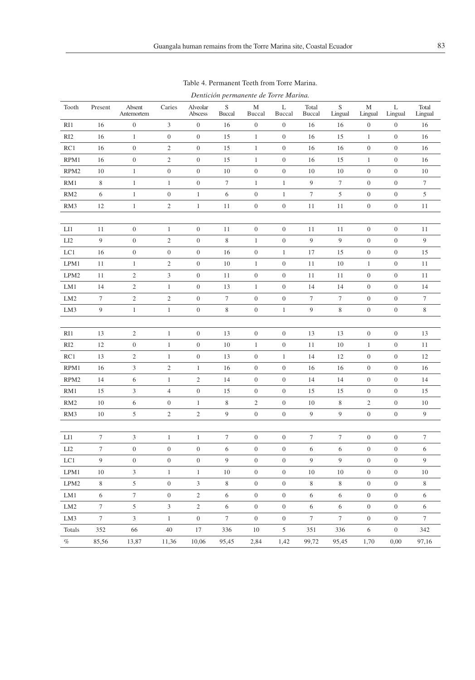| Tooth            | Present          | Absent<br>Antemortem | Caries           | Alveolar<br>Abscess | $\mathbf S$<br><b>Buccal</b> | M<br>Buccal      | L<br>Buccal      | Total<br>Buccal  | $\mathbf S$<br>Lingual | M<br>Lingual     | L<br>Lingual     | Total<br>Lingual |
|------------------|------------------|----------------------|------------------|---------------------|------------------------------|------------------|------------------|------------------|------------------------|------------------|------------------|------------------|
| RI1              | 16               | $\boldsymbol{0}$     | 3                | $\boldsymbol{0}$    | 16                           | $\boldsymbol{0}$ | $\boldsymbol{0}$ | 16               | 16                     | $\boldsymbol{0}$ | $\boldsymbol{0}$ | 16               |
| RI <sub>2</sub>  | 16               | $\mathbf{1}$         | $\boldsymbol{0}$ | $\boldsymbol{0}$    | 15                           | $1\,$            | $\boldsymbol{0}$ | 16               | 15                     | $\mathbf{1}$     | $\boldsymbol{0}$ | 16               |
| RC1              | 16               | $\boldsymbol{0}$     | $\sqrt{2}$       | $\boldsymbol{0}$    | 15                           | $1\,$            | $\boldsymbol{0}$ | 16               | 16                     | $\boldsymbol{0}$ | $\boldsymbol{0}$ | 16               |
| RPM1             | 16               | $\boldsymbol{0}$     | $\sqrt{2}$       | $\boldsymbol{0}$    | 15                           | $\mathbf{1}$     | $\boldsymbol{0}$ | 16               | 15                     | $\mathbf{1}$     | $\boldsymbol{0}$ | 16               |
| RPM <sub>2</sub> | 10               | $\mathbf{1}$         | $\boldsymbol{0}$ | $\boldsymbol{0}$    | 10                           | $\boldsymbol{0}$ | $\boldsymbol{0}$ | 10               | 10                     | $\boldsymbol{0}$ | $\boldsymbol{0}$ | 10               |
| RM1              | 8                | $\mathbf{1}$         | $\mathbf{1}$     | $\boldsymbol{0}$    | $\boldsymbol{7}$             | $\mathbf{1}$     | $\mathbf{1}$     | 9                | $\boldsymbol{7}$       | $\boldsymbol{0}$ | $\boldsymbol{0}$ | $\boldsymbol{7}$ |
| RM <sub>2</sub>  | 6                | $\mathbf{1}$         | $\boldsymbol{0}$ | $\mathbf{1}$        | 6                            | $\boldsymbol{0}$ | $\mathbf{1}$     | $\boldsymbol{7}$ | 5                      | $\boldsymbol{0}$ | $\boldsymbol{0}$ | 5                |
| RM3              | 12               | $\mathbf{1}$         | $\sqrt{2}$       | $\mathbf{1}$        | 11                           | $\boldsymbol{0}$ | $\boldsymbol{0}$ | 11               | 11                     | $\boldsymbol{0}$ | $\boldsymbol{0}$ | 11               |
|                  |                  |                      |                  |                     |                              |                  |                  |                  |                        |                  |                  |                  |
| LI               | 11               | $\boldsymbol{0}$     | $\mathbf{1}$     | $\boldsymbol{0}$    | 11                           | $\boldsymbol{0}$ | $\boldsymbol{0}$ | 11               | 11                     | $\boldsymbol{0}$ | $\boldsymbol{0}$ | 11               |
| LI <sub>2</sub>  | 9                | $\boldsymbol{0}$     | $\sqrt{2}$       | $\boldsymbol{0}$    | $\,$ 8 $\,$                  | $1\,$            | $\boldsymbol{0}$ | $\overline{9}$   | $\overline{9}$         | $\boldsymbol{0}$ | $\boldsymbol{0}$ | 9                |
| LC1              | 16               | $\boldsymbol{0}$     | $\boldsymbol{0}$ | $\boldsymbol{0}$    | 16                           | $\boldsymbol{0}$ | $1\,$            | 17               | 15                     | $\boldsymbol{0}$ | $\boldsymbol{0}$ | 15               |
| LPM1             | 11               | $\,1\,$              | $\sqrt{2}$       | $\boldsymbol{0}$    | 10                           | $1\,$            | $\boldsymbol{0}$ | 11               | 10                     | $\,1\,$          | $\boldsymbol{0}$ | 11               |
| LPM <sub>2</sub> | 11               | $\sqrt{2}$           | $\mathfrak{Z}$   | $\boldsymbol{0}$    | 11                           | $\boldsymbol{0}$ | $\boldsymbol{0}$ | 11               | 11                     | $\boldsymbol{0}$ | $\boldsymbol{0}$ | 11               |
| LM1              | 14               | $\sqrt{2}$           | $\mathbf{1}$     | $\boldsymbol{0}$    | 13                           | $\mathbf{1}$     | $\boldsymbol{0}$ | 14               | 14                     | $\boldsymbol{0}$ | $\boldsymbol{0}$ | 14               |
| LM <sub>2</sub>  | $\boldsymbol{7}$ | $\sqrt{2}$           | $\sqrt{2}$       | $\boldsymbol{0}$    | $\tau$                       | $\boldsymbol{0}$ | $\boldsymbol{0}$ | $\tau$           | $\boldsymbol{7}$       | $\boldsymbol{0}$ | $\boldsymbol{0}$ | $\boldsymbol{7}$ |
| LM3              | $\boldsymbol{9}$ | $\,1\,$              | $\,1$            | $\boldsymbol{0}$    | $\,$ 8 $\,$                  | $\boldsymbol{0}$ | $\,1\,$          | 9                | $\,$ 8 $\,$            | $\boldsymbol{0}$ | $\boldsymbol{0}$ | $\,$ 8 $\,$      |
|                  |                  |                      |                  |                     |                              |                  |                  |                  |                        |                  |                  |                  |
| RI1              | 13               | $\boldsymbol{2}$     | $\mathbf{1}$     | $\boldsymbol{0}$    | 13                           | $\boldsymbol{0}$ | $\boldsymbol{0}$ | 13               | 13                     | $\boldsymbol{0}$ | $\boldsymbol{0}$ | 13               |
| RI <sub>2</sub>  | 12               | $\boldsymbol{0}$     | $\mathbf{1}$     | $\boldsymbol{0}$    | 10                           | $\mathbf{1}$     | $\boldsymbol{0}$ | 11               | 10                     | $\mathbf{1}$     | $\boldsymbol{0}$ | 11               |
| RC1              | 13               | $\sqrt{2}$           | $\mathbf{1}$     | $\boldsymbol{0}$    | 13                           | $\mathbf{0}$     | $\mathbf{1}$     | 14               | 12                     | $\boldsymbol{0}$ | $\boldsymbol{0}$ | 12               |
| RPM1             | 16               | $\mathfrak{Z}$       | $\sqrt{2}$       | $\mathbf{1}$        | 16                           | $\boldsymbol{0}$ | $\boldsymbol{0}$ | 16               | 16                     | $\boldsymbol{0}$ | $\boldsymbol{0}$ | 16               |
| RPM <sub>2</sub> | 14               | 6                    | $\mathbf{1}$     | $\sqrt{2}$          | 14                           | $\boldsymbol{0}$ | $\boldsymbol{0}$ | 14               | 14                     | $\boldsymbol{0}$ | $\boldsymbol{0}$ | 14               |
| RM1              | 15               | 3                    | $\overline{4}$   | $\boldsymbol{0}$    | 15                           | $\boldsymbol{0}$ | $\boldsymbol{0}$ | 15               | 15                     | $\boldsymbol{0}$ | $\boldsymbol{0}$ | 15               |
| RM <sub>2</sub>  | 10               | 6                    | $\boldsymbol{0}$ | $\mathbf{1}$        | $\,$ 8 $\,$                  | $\sqrt{2}$       | $\boldsymbol{0}$ | 10               | $\,$ 8 $\,$            | $\sqrt{2}$       | $\boldsymbol{0}$ | $10$             |
| RM3              | 10               | 5                    | $\sqrt{2}$       | $\mathbf{2}$        | 9                            | $\boldsymbol{0}$ | $\boldsymbol{0}$ | 9                | 9                      | $\boldsymbol{0}$ | $\boldsymbol{0}$ | 9                |
|                  |                  |                      |                  |                     |                              |                  |                  |                  |                        |                  |                  |                  |
| LI               | $\tau$           | 3                    | $\mathbf{1}$     | $\mathbf{1}$        | $\boldsymbol{7}$             | $\boldsymbol{0}$ | $\boldsymbol{0}$ | $\tau$           | $\tau$                 | $\boldsymbol{0}$ | $\boldsymbol{0}$ | $\boldsymbol{7}$ |
| LI <sub>2</sub>  | $\tau$           | $\boldsymbol{0}$     | $\boldsymbol{0}$ | $\boldsymbol{0}$    | 6                            | $\boldsymbol{0}$ | $\boldsymbol{0}$ | 6                | 6                      | $\boldsymbol{0}$ | $\boldsymbol{0}$ | 6                |
| LC1              | $\boldsymbol{9}$ | $\boldsymbol{0}$     | $\boldsymbol{0}$ | $\boldsymbol{0}$    | 9                            | $\boldsymbol{0}$ | $\boldsymbol{0}$ | 9                | 9                      | $\boldsymbol{0}$ | $\boldsymbol{0}$ | 9                |
| LPM1             | 10               | 3                    | $\mathbf{1}$     | $\mathbf{1}$        | 10                           | $\boldsymbol{0}$ | $\boldsymbol{0}$ | 10               | 10                     | $\boldsymbol{0}$ | $\boldsymbol{0}$ | 10               |
| LPM <sub>2</sub> | $\,$ 8 $\,$      | $\mathfrak s$        | $\boldsymbol{0}$ | 3                   | $\,$ 8 $\,$                  | $\boldsymbol{0}$ | $\boldsymbol{0}$ | 8                | 8                      | $\boldsymbol{0}$ | $\boldsymbol{0}$ | $\,$ 8 $\,$      |
| LM1              | 6                | $\tau$               | $\boldsymbol{0}$ | $\mathfrak{2}$      | 6                            | $\boldsymbol{0}$ | $\boldsymbol{0}$ | 6                | 6                      | $\boldsymbol{0}$ | $\boldsymbol{0}$ | 6                |
| LM <sub>2</sub>  | $\tau$           | $\sqrt{5}$           | $\mathfrak{Z}$   | $\mathfrak{2}$      | 6                            | $\boldsymbol{0}$ | $\boldsymbol{0}$ | 6                | 6                      | $\boldsymbol{0}$ | $\boldsymbol{0}$ | 6                |
| LM3              | $\boldsymbol{7}$ | 3                    | $\,1$            | $\boldsymbol{0}$    | $\tau$                       | $\boldsymbol{0}$ | $\boldsymbol{0}$ | $\tau$           | $\boldsymbol{7}$       | $\boldsymbol{0}$ | $\boldsymbol{0}$ | $\tau$           |
| Totals           | 352              | 66                   | 40               | 17                  | 336                          | 10               | 5                | 351              | 336                    | 6                | $\boldsymbol{0}$ | 342              |
| $\%$             | 85,56            | 13,87                | 11,36            | 10,06               | 95,45                        | 2,84             | 1,42             | 99,72            | 95,45                  | 1,70             | 0,00             | 97,16            |

Table 4. Permanent Teeth from Torre Marina. *Dentición permanente de Torre Marina.*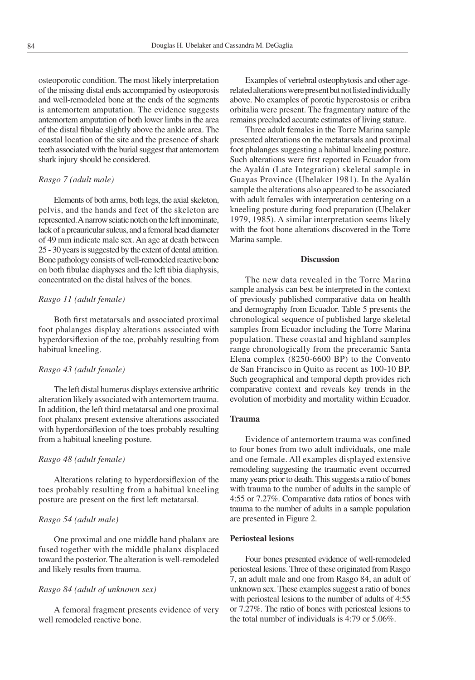osteoporotic condition. The most likely interpretation of the missing distal ends accompanied by osteoporosis and well-remodeled bone at the ends of the segments is antemortem amputation. The evidence suggests antemortem amputation of both lower limbs in the area of the distal fibulae slightly above the ankle area. The coastal location of the site and the presence of shark teeth associated with the burial suggest that antemortem shark injury should be considered.

#### *Rasgo 7 (adult male)*

Elements of both arms, both legs, the axial skeleton, pelvis, and the hands and feet of the skeleton are represented. A narrow sciatic notch on the left innominate, lack of a preauricular sulcus, and a femoral head diameter of 49 mm indicate male sex. An age at death between 25 - 30 years is suggested by the extent of dental attrition. Bone pathology consists of well-remodeled reactive bone on both fibulae diaphyses and the left tibia diaphysis, concentrated on the distal halves of the bones.

# *Rasgo 11 (adult female)*

Both first metatarsals and associated proximal foot phalanges display alterations associated with hyperdorsiflexion of the toe, probably resulting from habitual kneeling.

### *Rasgo 43 (adult female)*

The left distal humerus displays extensive arthritic alteration likely associated with antemortem trauma. In addition, the left third metatarsal and one proximal foot phalanx present extensive alterations associated with hyperdorsiflexion of the toes probably resulting from a habitual kneeling posture.

#### *Rasgo 48 (adult female)*

Alterations relating to hyperdorsiflexion of the toes probably resulting from a habitual kneeling posture are present on the first left metatarsal.

## *Rasgo 54 (adult male)*

One proximal and one middle hand phalanx are fused together with the middle phalanx displaced toward the posterior. The alteration is well-remodeled and likely results from trauma.

### *Rasgo 84 (adult of unknown sex)*

A femoral fragment presents evidence of very well remodeled reactive bone.

Examples of vertebral osteophytosis and other agerelated alterations were present but not listed individually above. No examples of porotic hyperostosis or cribra orbitalia were present. The fragmentary nature of the remains precluded accurate estimates of living stature.

Three adult females in the Torre Marina sample presented alterations on the metatarsals and proximal foot phalanges suggesting a habitual kneeling posture. Such alterations were first reported in Ecuador from the Ayalán (Late Integration) skeletal sample in Guayas Province (Ubelaker 1981). In the Ayalán sample the alterations also appeared to be associated with adult females with interpretation centering on a kneeling posture during food preparation (Ubelaker 1979, 1985). A similar interpretation seems likely with the foot bone alterations discovered in the Torre Marina sample.

# **Discussion**

The new data revealed in the Torre Marina sample analysis can best be interpreted in the context of previously published comparative data on health and demography from Ecuador. Table 5 presents the chronological sequence of published large skeletal samples from Ecuador including the Torre Marina population. These coastal and highland samples range chronologically from the preceramic Santa Elena complex (8250-6600 BP) to the Convento de San Francisco in Quito as recent as 100-10 BP. Such geographical and temporal depth provides rich comparative context and reveals key trends in the evolution of morbidity and mortality within Ecuador.

# **Trauma**

Evidence of antemortem trauma was confined to four bones from two adult individuals, one male and one female. All examples displayed extensive remodeling suggesting the traumatic event occurred many years prior to death. This suggests a ratio of bones with trauma to the number of adults in the sample of 4:55 or 7.27%. Comparative data ratios of bones with trauma to the number of adults in a sample population are presented in Figure 2.

#### **Periosteal lesions**

Four bones presented evidence of well-remodeled periosteal lesions. Three of these originated from Rasgo 7, an adult male and one from Rasgo 84, an adult of unknown sex. These examples suggest a ratio of bones with periosteal lesions to the number of adults of 4:55 or 7.27%. The ratio of bones with periosteal lesions to the total number of individuals is 4:79 or 5.06%.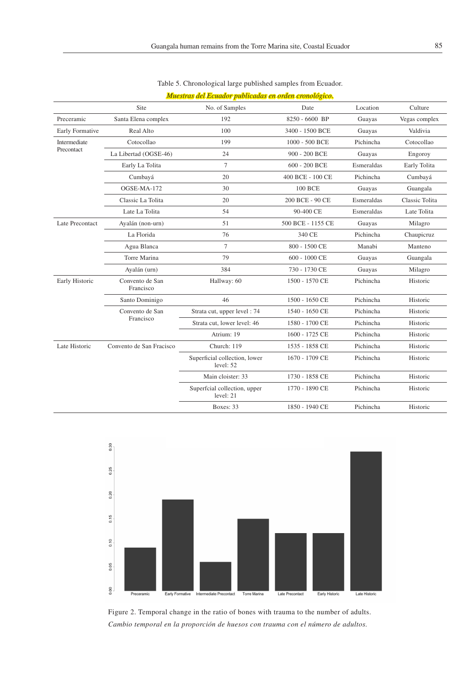|                 | <b>Site</b>                  | No. of Samples                             | Date              | Location   | Culture        |
|-----------------|------------------------------|--------------------------------------------|-------------------|------------|----------------|
| Preceramic      | Santa Elena complex          | 192                                        | 8250 - 6600 BP    | Guayas     | Vegas complex  |
| Early Formative | Real Alto                    | 100                                        | 3400 - 1500 BCE   | Guayas     | Valdivia       |
| Intermediate    | Cotocollao                   | 199                                        | 1000 - 500 BCE    | Pichincha  | Cotocollao     |
| Precontact      | La Libertad (OGSE-46)        | 24                                         | 900 - 200 BCE     | Guayas     | Engoroy        |
|                 | Early La Tolita              | $\overline{7}$                             | 600 - 200 BCE     | Esmeraldas | Early Tolita   |
|                 | Cumbayá                      | 20                                         | 400 BCE - 100 CE  | Pichincha  | Cumbayá        |
|                 | OGSE-MA-172                  | 30                                         | <b>100 BCE</b>    | Guayas     | Guangala       |
|                 | Classic La Tolita            | 20                                         | 200 BCE - 90 CE   | Esmeraldas | Classic Tolita |
|                 | Late La Tolita               | 54                                         | 90-400 CE         | Esmeraldas | Late Tolita    |
| Late Precontact | Ayalán (non-urn)             | 51                                         | 500 BCE - 1155 CE | Guayas     | Milagro        |
|                 | La Florida                   | 76                                         | 340 CE            | Pichincha  | Chaupicruz     |
|                 | Agua Blanca                  | $\tau$                                     | 800 - 1500 CE     | Manabi     | Manteno        |
|                 | Torre Marina                 | 79                                         | 600 - 1000 CE     | Guayas     | Guangala       |
|                 | Ayalán (urn)                 | 384                                        | 730 - 1730 CE     | Guayas     | Milagro        |
| Early Historic  | Convento de San<br>Francisco | Hallway: 60                                | 1500 - 1570 CE    | Pichincha  | Historic       |
|                 | Santo Dominigo               | 46                                         | 1500 - 1650 CE    | Pichincha  | Historic       |
|                 | Convento de San              | Strata cut, upper level : 74               | 1540 - 1650 CE    | Pichincha  | Historic       |
|                 | Francisco                    | Strata cut, lower level: 46                | 1580 - 1700 CE    | Pichincha  | Historic       |
|                 |                              | Atrium: 19                                 | 1600 - 1725 CE    | Pichincha  | Historic       |
| Late Historic   | Convento de San Fracisco     | Church: 119                                | 1535 - 1858 CE    | Pichincha  | Historic       |
|                 |                              | Superficial collection, lower<br>level: 52 | 1670 - 1709 CE    | Pichincha  | Historic       |
|                 |                              | Main cloister: 33                          | 1730 - 1858 CE    | Pichincha  | Historic       |
|                 |                              | Superfcial collection, upper<br>level: 21  | 1770 - 1890 CE    | Pichincha  | Historic       |
|                 |                              | Boxes: 33                                  | 1850 - 1940 CE    | Pichincha  | Historic       |
|                 |                              |                                            |                   |            |                |

Table 5. Chronological large published samples from Ecuador.

*Muestras del Ecuador publicadas en orden cronológico.* 



Figure 2. Temporal change in the ratio of bones with trauma to the number of adults. *Cambio temporal en la proporción de huesos con trauma con el número de adultos.*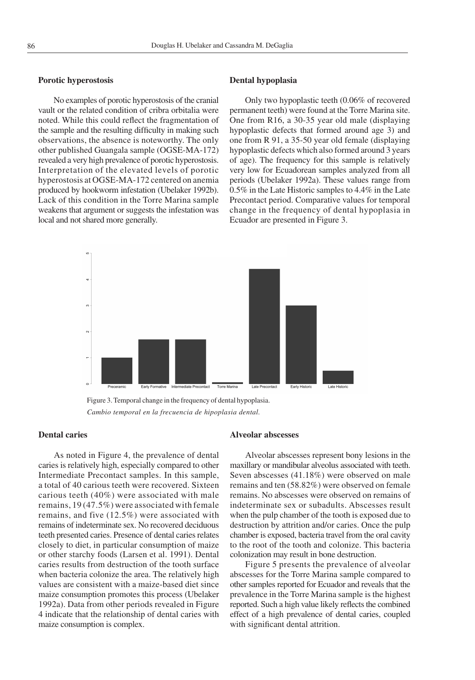## **Porotic hyperostosis**

No examples of porotic hyperostosis of the cranial vault or the related condition of cribra orbitalia were noted. While this could reflect the fragmentation of the sample and the resulting difficulty in making such observations, the absence is noteworthy. The only other published Guangala sample (OGSE-MA-172) revealed a very high prevalence of porotic hyperostosis. Interpretation of the elevated levels of porotic hyperostosis at OGSE-MA-172 centered on anemia produced by hookworm infestation (Ubelaker 1992b). Lack of this condition in the Torre Marina sample weakens that argument or suggests the infestation was local and not shared more generally.

## **Dental hypoplasia**

Only two hypoplastic teeth (0.06% of recovered permanent teeth) were found at the Torre Marina site. One from R16, a 30-35 year old male (displaying hypoplastic defects that formed around age 3) and one from R 91, a 35-50 year old female (displaying hypoplastic defects which also formed around 3 years of age). The frequency for this sample is relatively very low for Ecuadorean samples analyzed from all periods (Ubelaker 1992a). These values range from 0.5% in the Late Historic samples to 4.4% in the Late Precontact period. Comparative values for temporal change in the frequency of dental hypoplasia in Ecuador are presented in Figure 3.



Figure 3. Temporal change in the frequency of dental hypoplasia. *Cambio temporal en la frecuencia de hipoplasia dental.*

## **Dental caries**

As noted in Figure 4, the prevalence of dental caries is relatively high, especially compared to other Intermediate Precontact samples. In this sample, a total of 40 carious teeth were recovered. Sixteen carious teeth (40%) were associated with male remains, 19 (47.5%) were associated with female remains, and five (12.5%) were associated with remains of indeterminate sex. No recovered deciduous teeth presented caries. Presence of dental caries relates closely to diet, in particular consumption of maize or other starchy foods (Larsen et al. 1991). Dental caries results from destruction of the tooth surface when bacteria colonize the area. The relatively high values are consistent with a maize-based diet since maize consumption promotes this process (Ubelaker 1992a). Data from other periods revealed in Figure 4 indicate that the relationship of dental caries with maize consumption is complex.

### **Alveolar abscesses**

Alveolar abscesses represent bony lesions in the maxillary or mandibular alveolus associated with teeth. Seven abscesses (41.18%) were observed on male remains and ten (58.82%) were observed on female remains. No abscesses were observed on remains of indeterminate sex or subadults. Abscesses result when the pulp chamber of the tooth is exposed due to destruction by attrition and/or caries. Once the pulp chamber is exposed, bacteria travel from the oral cavity to the root of the tooth and colonize. This bacteria colonization may result in bone destruction.

Figure 5 presents the prevalence of alveolar abscesses for the Torre Marina sample compared to other samples reported for Ecuador and reveals that the prevalence in the Torre Marina sample is the highest reported. Such a high value likely reflects the combined effect of a high prevalence of dental caries, coupled with significant dental attrition.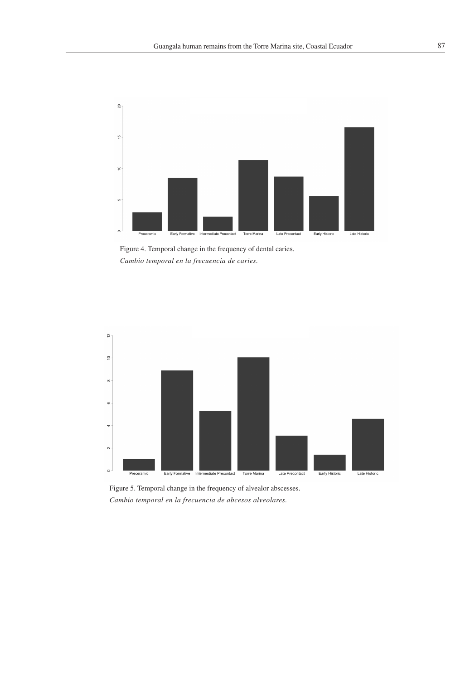

Figure 4. Temporal change in the frequency of dental caries. *Cambio temporal en la frecuencia de caries.*



Figure 5. Temporal change in the frequency of alvealor abscesses. *Cambio temporal en la frecuencia de abcesos alveolares.*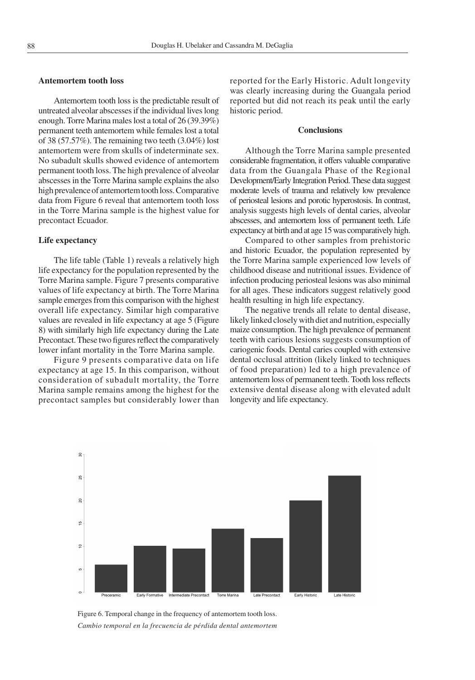### **Antemortem tooth loss**

Antemortem tooth loss is the predictable result of untreated alveolar abscesses if the individual lives long enough. Torre Marina males lost a total of 26 (39.39%) permanent teeth antemortem while females lost a total of 38 (57.57%). The remaining two teeth (3.04%) lost antemortem were from skulls of indeterminate sex. No subadult skulls showed evidence of antemortem permanent tooth loss. The high prevalence of alveolar abscesses in the Torre Marina sample explains the also high prevalence of antemortem tooth loss. Comparative data from Figure 6 reveal that antemortem tooth loss in the Torre Marina sample is the highest value for precontact Ecuador.

### **Life expectancy**

The life table (Table 1) reveals a relatively high life expectancy for the population represented by the Torre Marina sample. Figure 7 presents comparative values of life expectancy at birth. The Torre Marina sample emerges from this comparison with the highest overall life expectancy. Similar high comparative values are revealed in life expectancy at age 5 (Figure 8) with similarly high life expectancy during the Late Precontact. These two figures reflect the comparatively lower infant mortality in the Torre Marina sample.

Figure 9 presents comparative data on life expectancy at age 15. In this comparison, without consideration of subadult mortality, the Torre Marina sample remains among the highest for the precontact samples but considerably lower than reported for the Early Historic. Adult longevity was clearly increasing during the Guangala period reported but did not reach its peak until the early historic period.

## **Conclusions**

Although the Torre Marina sample presented considerable fragmentation, it offers valuable comparative data from the Guangala Phase of the Regional Development/Early Integration Period. These data suggest moderate levels of trauma and relatively low prevalence of periosteal lesions and porotic hyperostosis. In contrast, analysis suggests high levels of dental caries, alveolar abscesses, and antemortem loss of permanent teeth. Life expectancy at birth and at age 15 was comparatively high.

Compared to other samples from prehistoric and historic Ecuador, the population represented by the Torre Marina sample experienced low levels of childhood disease and nutritional issues. Evidence of infection producing periosteal lesions was also minimal for all ages. These indicators suggest relatively good health resulting in high life expectancy.

The negative trends all relate to dental disease, likely linked closely with diet and nutrition, especially maize consumption. The high prevalence of permanent teeth with carious lesions suggests consumption of cariogenic foods. Dental caries coupled with extensive dental occlusal attrition (likely linked to techniques of food preparation) led to a high prevalence of antemortem loss of permanent teeth. Tooth loss reflects extensive dental disease along with elevated adult longevity and life expectancy.



Figure 6. Temporal change in the frequency of antemortem tooth loss. *Cambio temporal en la frecuencia de pérdida dental antemortem*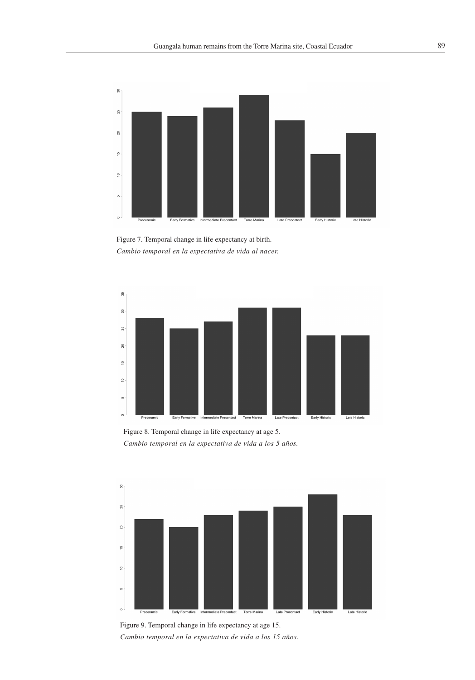

Figure 7. Temporal change in life expectancy at birth. *Cambio temporal en la expectativa de vida al nacer.*



Figure 8. Temporal change in life expectancy at age 5. *Cambio temporal en la expectativa de vida a los 5 años.*



Figure 9. Temporal change in life expectancy at age 15. *Cambio temporal en la expectativa de vida a los 15 años.*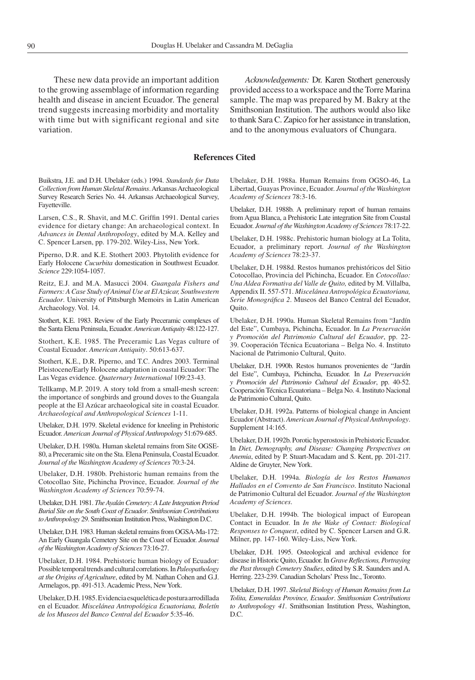These new data provide an important addition to the growing assemblage of information regarding health and disease in ancient Ecuador. The general trend suggests increasing morbidity and mortality with time but with significant regional and site variation.

*Acknowledgements:* Dr. Karen Stothert generously provided access to a workspace and the Torre Marina sample. The map was prepared by M. Bakry at the Smithsonian Institution. The authors would also like to thank Sara C. Zapico for her assistance in translation, and to the anonymous evaluators of Chungara.

### **References Cited**

Buikstra, J.E. and D.H. Ubelaker (eds.) 1994. *Standards for Data Collection from Human Skeletal Remains*. Arkansas Archaeological Survey Research Series No. 44. Arkansas Archaeological Survey, Fayetteville.

Larsen, C.S., R. Shavit, and M.C. Griffin 1991. Dental caries evidence for dietary change: An archaeological context. In *Advances in Dental Anthropology*, edited by M.A. Kelley and C. Spencer Larsen, pp. 179-202. Wiley-Liss, New York.

Piperno, D.R. and K.E. Stothert 2003. Phytolith evidence for Early Holocene *Cucurbita* domestication in Southwest Ecuador. *Science* 229:1054-1057.

Reitz, E.J. and M.A. Masucci 2004. *Guangala Fishers and Farmers: A Case Study of Animal Use at El Azúcar, Southwestern Ecuador*. University of Pittsburgh Memoirs in Latin American Archaeology. Vol. 14.

Stothert, K.E. 1983. Review of the Early Preceramic complexes of the Santa Elena Peninsula, Ecuador. *American Antiquity* 48:122-127.

Stothert, K.E. 1985. The Preceramic Las Vegas culture of Coastal Ecuador. *American Antiquity*. 50:613-637.

Stothert, K.E., D.R. Piperno, and T.C. Andres 2003. Terminal Pleistocene/Early Holocene adaptation in coastal Ecuador: The Las Vegas evidence. *Quaternary International* 109:23-43.

Tellkamp, M.P. 2019. A story told from a small-mesh screen: the importance of songbirds and ground doves to the Guangala people at the El Azúcar archaeological site in coastal Ecuador. *Archaeological and Anthropological Sciences* 1-11.

Ubelaker, D.H. 1979. Skeletal evidence for kneeling in Prehistoric Ecuador. *American Journal of Physical Anthropology* 51:679-685.

Ubelaker, D.H. 1980a. Human skeletal remains from Site OGSE-80, a Preceramic site on the Sta. Elena Peninsula, Coastal Ecuador. *Journal of the Washington Academy of Sciences* 70:3-24.

Ubelaker, D.H. 1980b. Prehistoric human remains from the Cotocollao Site, Pichincha Province, Ecuador. *Journal of the Washington Academy of Sciences* 70:59-74.

Ubelaker, D.H. 1981. *The AyalánCemetery: A Late Integration Period Burial Site on the South Coast of Ecuador*. *Smithsonian Contributions to Anthropology* 29. Smithsonian Institution Press, Washington D.C.

Ubelaker, D.H. 1983. Human skeletal remains from OGSA-Ma-172: An Early Guangala Cemetery Site on the Coast of Ecuador. *Journal of the Washington Academy of Sciences* 73:16-27.

Ubelaker, D.H. 1984. Prehistoric human biology of Ecuador: Possible temporal trends and cultural correlations. In *Paleopathology at the Origins of Agriculture*, edited by M. Nathan Cohen and G.J. Armelagos, pp. 491-513. Academic Press, New York.

Ubelaker, D.H. 1985. Evidencia esquelética de postura arrodillada en el Ecuador. *Miscelánea Antropológica Ecuatoriana, Boletín de los Museos del Banco Central del Ecuador* 5:35-46.

Ubelaker, D.H. 1988a. Human Remains from OGSO-46, La Libertad, Guayas Province, Ecuador. *Journal of the Washington Academy of Sciences* 78:3-16.

Ubelaker, D.H. 1988b. A preliminary report of human remains from Agua Blanca, a Prehistoric Late integration Site from Coastal Ecuador. *Journal of the Washington Academy of Sciences* 78:17-22.

Ubelaker, D.H. 1988c. Prehistoric human biology at La Tolita, Ecuador, a preliminary report. *Journal of the Washington Academy of Sciences* 78:23-37.

Ubelaker, D.H. 1988d. Restos humanos prehistóricos del Sitio Cotocollao, Provincia del Pichincha, Ecuador. En *Cotocollao: Una Aldea Formativa del Valle de Quito,* edited by M. Villalba, Appendix II. 557-571. *Miscelánea Antropológica Ecuatoriana, Serie Monográfica 2*. Museos del Banco Central del Ecuador, Quito.

Ubelaker, D.H. 1990a. Human Skeletal Remains from "Jardín del Este", Cumbaya, Pichincha, Ecuador. In *La Preservaci*ó*n y Promoci*ó*n del Patrimonio Cultural del Ecuador*, pp. 22- 39. Cooperación Técnica Ecuatoriana – Belga No. 4. Instituto Nacional de Patrimonio Cultural, Quito.

Ubelaker, D.H. 1990b. Restos humanos provenientes de "Jardín del Este", Cumbaya, Pichincha, Ecuador. In *La* P*reservación y Promoción del Patrimonio Cultural del Ecuador*, pp. 40-52. Cooperación Técnica Ecuatoriana – Belga No. 4. Instituto Nacional de Patrimonio Cultural, Quito.

Ubelaker, D.H. 1992a. Patterns of biological change in Ancient Ecuador (Abstract). *American Journal of Physical Anthropology*. Supplement 14:165.

Ubelaker, D.H. 1992b. Porotic hyperostosis in Prehistoric Ecuador. In *Diet, Demography, and Disease: Changing Perspectives on Anemia*, edited by P. Stuart-Macadam and S. Kent, pp. 201-217. Aldine de Gruyter, New York.

Ubelaker, D.H. 1994a. *Biología de los Restos Humanos Hallados en el Convento de San Francisco*. Instituto Nacional de Patrimonio Cultural del Ecuador. *Journal of the Washington Academy of Sciences*.

Ubelaker, D.H. 1994b. The biological impact of European Contact in Ecuador. In *In the Wake of Contact: Biological Responses to Conquest*, edited by C. Spencer Larsen and G.R. Milner, pp. 147-160. Wiley-Liss, New York.

Ubelaker, D.H. 1995. Osteological and archival evidence for disease in Historic Quito, Ecuador. In *Grave Reflections, Portraying the Past through Cemetery Studies*, edited by S.R. Saunders and A. Herring. 223-239. Canadian Scholars' Press Inc., Toronto.

Ubelaker, D.H. 1997. *Skeletal Biology of Human Remains from La Tolita, Esmeraldas Province, Ecuador*. *Smithsonian Contributions to Anthropology 41*. Smithsonian Institution Press, Washington, D.C.